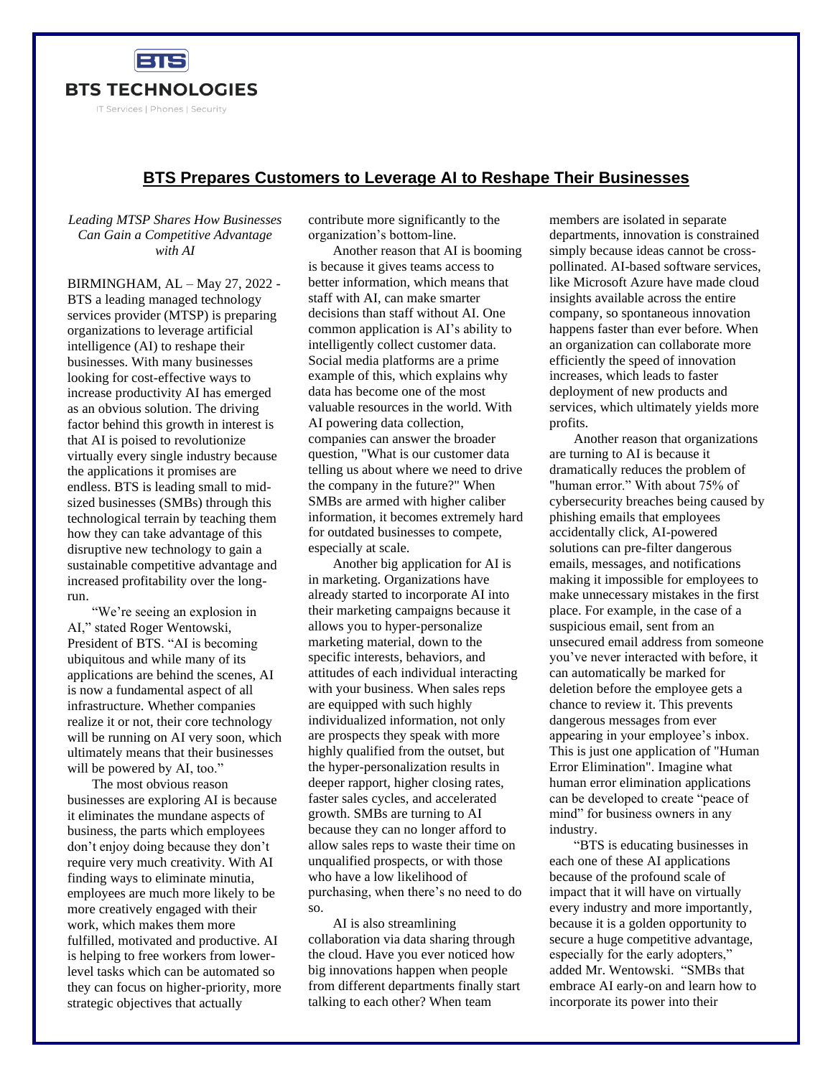

## **BTS Prepares Customers to Leverage AI to Reshape Their Businesses**

*Leading MTSP Shares How Businesses Can Gain a Competitive Advantage with AI*

BIRMINGHAM, AL – May 27, 2022 - BTS a leading managed technology services provider (MTSP) is preparing organizations to leverage artificial intelligence (AI) to reshape their businesses. With many businesses looking for cost-effective ways to increase productivity AI has emerged as an obvious solution. The driving factor behind this growth in interest is that AI is poised to revolutionize virtually every single industry because the applications it promises are endless. BTS is leading small to midsized businesses (SMBs) through this technological terrain by teaching them how they can take advantage of this disruptive new technology to gain a sustainable competitive advantage and increased profitability over the longrun.

"We're seeing an explosion in AI," stated Roger Wentowski, President of BTS. "AI is becoming ubiquitous and while many of its applications are behind the scenes, AI is now a fundamental aspect of all infrastructure. Whether companies realize it or not, their core technology will be running on AI very soon, which ultimately means that their businesses will be powered by AI, too."

The most obvious reason businesses are exploring AI is because it eliminates the mundane aspects of business, the parts which employees don't enjoy doing because they don't require very much creativity. With AI finding ways to eliminate minutia, employees are much more likely to be more creatively engaged with their work, which makes them more fulfilled, motivated and productive. AI is helping to free workers from lowerlevel tasks which can be automated so they can focus on higher-priority, more strategic objectives that actually

contribute more significantly to the organization's bottom-line.

Another reason that AI is booming is because it gives teams access to better information, which means that staff with AI, can make smarter decisions than staff without AI. One common application is AI's ability to intelligently collect customer data. Social media platforms are a prime example of this, which explains why data has become one of the most valuable resources in the world. With AI powering data collection, companies can answer the broader question, "What is our customer data telling us about where we need to drive the company in the future?" When SMBs are armed with higher caliber information, it becomes extremely hard for outdated businesses to compete, especially at scale.

Another big application for AI is in marketing. Organizations have already started to incorporate AI into their marketing campaigns because it allows you to hyper-personalize marketing material, down to the specific interests, behaviors, and attitudes of each individual interacting with your business. When sales reps are equipped with such highly individualized information, not only are prospects they speak with more highly qualified from the outset, but the hyper-personalization results in deeper rapport, higher closing rates, faster sales cycles, and accelerated growth. SMBs are turning to AI because they can no longer afford to allow sales reps to waste their time on unqualified prospects, or with those who have a low likelihood of purchasing, when there's no need to do so.

AI is also streamlining collaboration via data sharing through the cloud. Have you ever noticed how big innovations happen when people from different departments finally start talking to each other? When team

members are isolated in separate departments, innovation is constrained simply because ideas cannot be crosspollinated. AI-based software services, like Microsoft Azure have made cloud insights available across the entire company, so spontaneous innovation happens faster than ever before. When an organization can collaborate more efficiently the speed of innovation increases, which leads to faster deployment of new products and services, which ultimately yields more profits.

Another reason that organizations are turning to AI is because it dramatically reduces the problem of "human error." With about 75% of cybersecurity breaches being caused by phishing emails that employees accidentally click, AI-powered solutions can pre-filter dangerous emails, messages, and notifications making it impossible for employees to make unnecessary mistakes in the first place. For example, in the case of a suspicious email, sent from an unsecured email address from someone you've never interacted with before, it can automatically be marked for deletion before the employee gets a chance to review it. This prevents dangerous messages from ever appearing in your employee's inbox. This is just one application of "Human Error Elimination". Imagine what human error elimination applications can be developed to create "peace of mind" for business owners in any industry.

"BTS is educating businesses in each one of these AI applications because of the profound scale of impact that it will have on virtually every industry and more importantly, because it is a golden opportunity to secure a huge competitive advantage, especially for the early adopters," added Mr. Wentowski. "SMBs that embrace AI early-on and learn how to incorporate its power into their